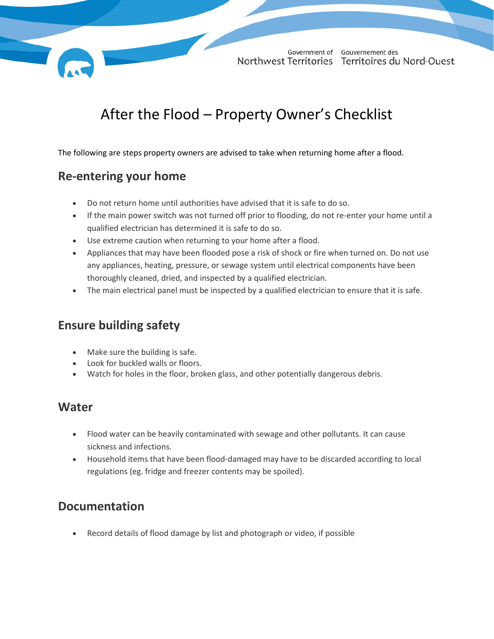

# After the Flood – Property Owner's Checklist

The following are steps property owners are advised to take when returning home after a flood.

#### **Re-entering your home**

- Do not return home until authorities have advised that it is safe to do so.
- If the main power switch was not turned off prior to flooding, do not re-enter your home until a qualified electrician has determined it is safe to do so.
- Use extreme caution when returning to your home after a flood.
- Appliances that may have been flooded pose a risk of shock or fire when turned on. Do not use any appliances, heating, pressure, or sewage system until electrical components have been thoroughly cleaned, dried, and inspected by a qualified electrician.
- The main electrical panel must be inspected by a qualified electrician to ensure that it is safe.

#### **Ensure building safety**

- Make sure the building is safe.
- Look for buckled walls or floors.
- Watch for holes in the floor, broken glass, and other potentially dangerous debris.

#### **Water**

- Flood water can be heavily contaminated with sewage and other pollutants. It can cause sickness and infections.
- Household items that have been flood-damaged may have to be discarded according to local regulations (eg. fridge and freezer contents may be spoiled).

#### **Documentation**

Record details of flood damage by list and photograph or video, if possible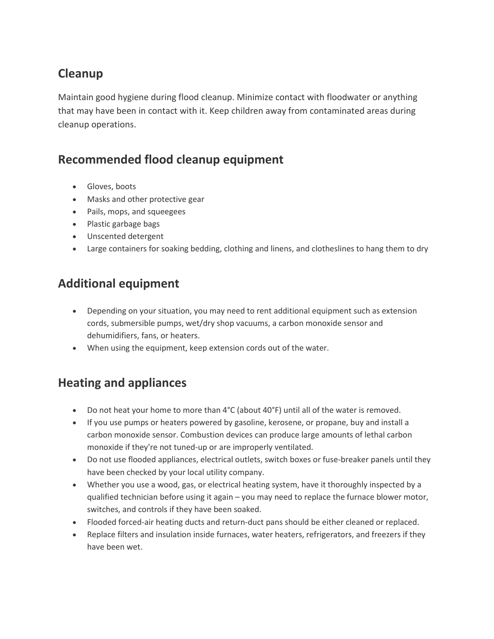### **Cleanup**

Maintain good hygiene during flood cleanup. Minimize contact with floodwater or anything that may have been in contact with it. Keep children away from contaminated areas during cleanup operations.

#### **Recommended flood cleanup equipment**

- Gloves, boots
- Masks and other protective gear
- Pails, mops, and squeegees
- Plastic garbage bags
- Unscented detergent
- Large containers for soaking bedding, clothing and linens, and clotheslines to hang them to dry

#### **Additional equipment**

- Depending on your situation, you may need to rent additional equipment such as extension cords, submersible pumps, wet/dry shop vacuums, a carbon monoxide sensor and dehumidifiers, fans, or heaters.
- When using the equipment, keep extension cords out of the water.

#### **Heating and appliances**

- Do not heat your home to more than 4°C (about 40°F) until all of the water is removed.
- If you use pumps or heaters powered by gasoline, kerosene, or propane, buy and install a carbon monoxide sensor. Combustion devices can produce large amounts of lethal carbon monoxide if they're not tuned-up or are improperly ventilated.
- Do not use flooded appliances, electrical outlets, switch boxes or fuse-breaker panels until they have been checked by your local utility company.
- Whether you use a wood, gas, or electrical heating system, have it thoroughly inspected by a qualified technician before using it again – you may need to replace the furnace blower motor, switches, and controls if they have been soaked.
- Flooded forced-air heating ducts and return-duct pans should be either cleaned or replaced.
- Replace filters and insulation inside furnaces, water heaters, refrigerators, and freezers if they have been wet.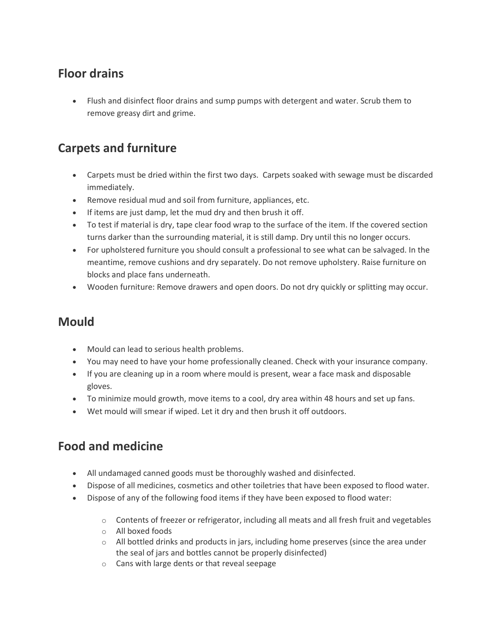#### **Floor drains**

• Flush and disinfect floor drains and sump pumps with detergent and water. Scrub them to remove greasy dirt and grime.

#### **Carpets and furniture**

- Carpets must be dried within the first two days. Carpets soaked with sewage must be discarded immediately.
- Remove residual mud and soil from furniture, appliances, etc.
- If items are just damp, let the mud dry and then brush it off.
- To test if material is dry, tape clear food wrap to the surface of the item. If the covered section turns darker than the surrounding material, it is still damp. Dry until this no longer occurs.
- For upholstered furniture you should consult a professional to see what can be salvaged. In the meantime, remove cushions and dry separately. Do not remove upholstery. Raise furniture on blocks and place fans underneath.
- Wooden furniture: Remove drawers and open doors. Do not dry quickly or splitting may occur.

#### **Mould**

- Mould can lead to serious health problems.
- You may need to have your home professionally cleaned. Check with your insurance company.
- If you are cleaning up in a room where mould is present, wear a face mask and disposable gloves.
- To minimize mould growth, move items to a cool, dry area within 48 hours and set up fans.
- Wet mould will smear if wiped. Let it dry and then brush it off outdoors.

#### **Food and medicine**

- All undamaged canned goods must be thoroughly washed and disinfected.
- Dispose of all medicines, cosmetics and other toiletries that have been exposed to flood water.
- Dispose of any of the following food items if they have been exposed to flood water:
	- $\circ$  Contents of freezer or refrigerator, including all meats and all fresh fruit and vegetables
	- o All boxed foods
	- o All bottled drinks and products in jars, including home preserves (since the area under the seal of jars and bottles cannot be properly disinfected)
	- o Cans with large dents or that reveal seepage